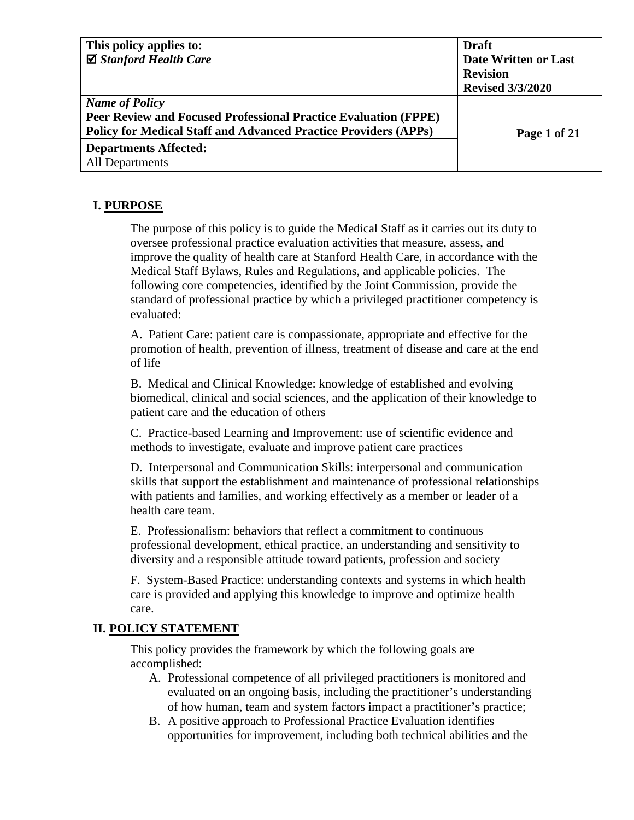| This policy applies to:                                                | <b>Draft</b>            |
|------------------------------------------------------------------------|-------------------------|
| $\boxtimes$ Stanford Health Care                                       | Date Written or Last    |
|                                                                        | <b>Revision</b>         |
|                                                                        | <b>Revised 3/3/2020</b> |
| <b>Name of Policy</b>                                                  |                         |
| <b>Peer Review and Focused Professional Practice Evaluation (FPPE)</b> |                         |
| <b>Policy for Medical Staff and Advanced Practice Providers (APPs)</b> | Page 1 of 21            |
| <b>Departments Affected:</b>                                           |                         |
| <b>All Departments</b>                                                 |                         |

## **I. PURPOSE**

The purpose of this policy is to guide the Medical Staff as it carries out its duty to oversee professional practice evaluation activities that measure, assess, and improve the quality of health care at Stanford Health Care, in accordance with the Medical Staff Bylaws, Rules and Regulations, and applicable policies. The following core competencies, identified by the Joint Commission, provide the standard of professional practice by which a privileged practitioner competency is evaluated:

A. Patient Care: patient care is compassionate, appropriate and effective for the promotion of health, prevention of illness, treatment of disease and care at the end of life

B. Medical and Clinical Knowledge: knowledge of established and evolving biomedical, clinical and social sciences, and the application of their knowledge to patient care and the education of others

C. Practice-based Learning and Improvement: use of scientific evidence and methods to investigate, evaluate and improve patient care practices

D. Interpersonal and Communication Skills: interpersonal and communication skills that support the establishment and maintenance of professional relationships with patients and families, and working effectively as a member or leader of a health care team.

E. Professionalism: behaviors that reflect a commitment to continuous professional development, ethical practice, an understanding and sensitivity to diversity and a responsible attitude toward patients, profession and society

F. System-Based Practice: understanding contexts and systems in which health care is provided and applying this knowledge to improve and optimize health care.

## **II. POLICY STATEMENT**

This policy provides the framework by which the following goals are accomplished:

- A. Professional competence of all privileged practitioners is monitored and evaluated on an ongoing basis, including the practitioner's understanding of how human, team and system factors impact a practitioner's practice;
- B. A positive approach to Professional Practice Evaluation identifies opportunities for improvement, including both technical abilities and the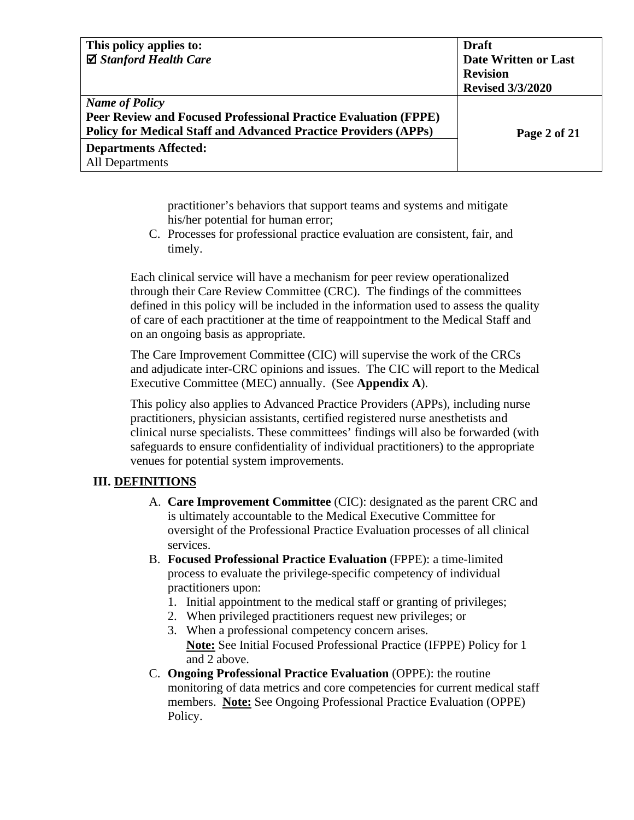| This policy applies to:                                                | <b>Draft</b>                |
|------------------------------------------------------------------------|-----------------------------|
| $\boxtimes$ Stanford Health Care                                       | <b>Date Written or Last</b> |
|                                                                        | <b>Revision</b>             |
|                                                                        | <b>Revised 3/3/2020</b>     |
| <b>Name of Policy</b>                                                  |                             |
| <b>Peer Review and Focused Professional Practice Evaluation (FPPE)</b> |                             |
| <b>Policy for Medical Staff and Advanced Practice Providers (APPs)</b> | Page 2 of 21                |
| <b>Departments Affected:</b>                                           |                             |
| All Departments                                                        |                             |

practitioner's behaviors that support teams and systems and mitigate his/her potential for human error;

C. Processes for professional practice evaluation are consistent, fair, and timely.

Each clinical service will have a mechanism for peer review operationalized through their Care Review Committee (CRC). The findings of the committees defined in this policy will be included in the information used to assess the quality of care of each practitioner at the time of reappointment to the Medical Staff and on an ongoing basis as appropriate.

The Care Improvement Committee (CIC) will supervise the work of the CRCs and adjudicate inter-CRC opinions and issues. The CIC will report to the Medical Executive Committee (MEC) annually. (See **Appendix A**).

This policy also applies to Advanced Practice Providers (APPs), including nurse practitioners, physician assistants, certified registered nurse anesthetists and clinical nurse specialists. These committees' findings will also be forwarded (with safeguards to ensure confidentiality of individual practitioners) to the appropriate venues for potential system improvements.

## **III. DEFINITIONS**

- A. **Care Improvement Committee** (CIC): designated as the parent CRC and is ultimately accountable to the Medical Executive Committee for oversight of the Professional Practice Evaluation processes of all clinical services.
- B. **Focused Professional Practice Evaluation** (FPPE): a time-limited process to evaluate the privilege-specific competency of individual practitioners upon:
	- 1. Initial appointment to the medical staff or granting of privileges;
	- 2. When privileged practitioners request new privileges; or
	- 3. When a professional competency concern arises. **Note:** See Initial Focused Professional Practice (IFPPE) Policy for 1 and 2 above.
- C. **Ongoing Professional Practice Evaluation** (OPPE): the routine monitoring of data metrics and core competencies for current medical staff members. **Note:** See Ongoing Professional Practice Evaluation (OPPE) Policy.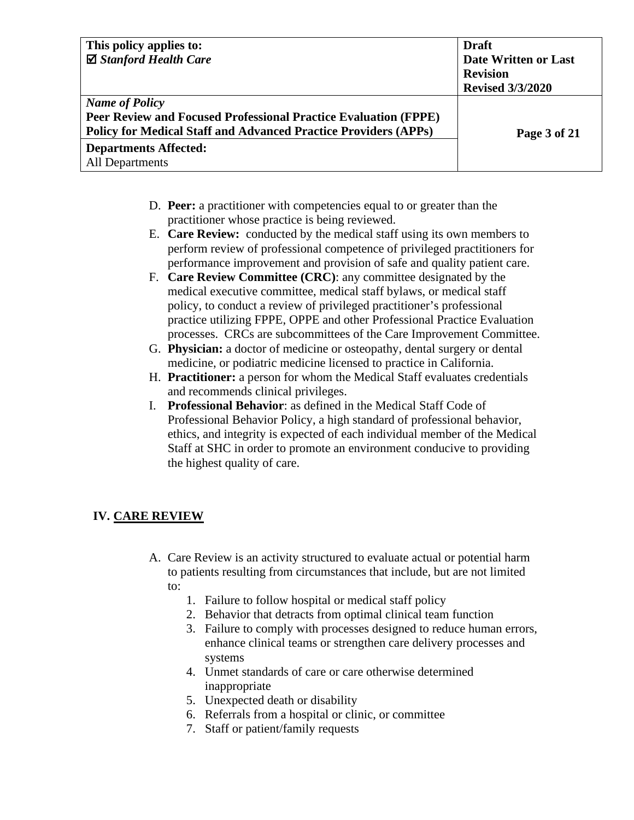| This policy applies to:                                                | <b>Draft</b>            |
|------------------------------------------------------------------------|-------------------------|
| $\boxtimes$ Stanford Health Care                                       | Date Written or Last    |
|                                                                        | <b>Revision</b>         |
|                                                                        | <b>Revised 3/3/2020</b> |
| <b>Name of Policy</b>                                                  |                         |
| <b>Peer Review and Focused Professional Practice Evaluation (FPPE)</b> |                         |
| <b>Policy for Medical Staff and Advanced Practice Providers (APPs)</b> | Page 3 of 21            |
| <b>Departments Affected:</b>                                           |                         |
| <b>All Departments</b>                                                 |                         |

- D. **Peer:** a practitioner with competencies equal to or greater than the practitioner whose practice is being reviewed.
- E. **Care Review:** conducted by the medical staff using its own members to perform review of professional competence of privileged practitioners for performance improvement and provision of safe and quality patient care.
- F. **Care Review Committee (CRC)**: any committee designated by the medical executive committee, medical staff bylaws, or medical staff policy, to conduct a review of privileged practitioner's professional practice utilizing FPPE, OPPE and other Professional Practice Evaluation processes. CRCs are subcommittees of the Care Improvement Committee.
- G. **Physician:** a doctor of medicine or osteopathy, dental surgery or dental medicine, or podiatric medicine licensed to practice in California.
- H. **Practitioner:** a person for whom the Medical Staff evaluates credentials and recommends clinical privileges.
- I. **Professional Behavior**: as defined in the Medical Staff Code of Professional Behavior Policy, a high standard of professional behavior, ethics, and integrity is expected of each individual member of the Medical Staff at SHC in order to promote an environment conducive to providing the highest quality of care.

## **IV. CARE REVIEW**

- A. Care Review is an activity structured to evaluate actual or potential harm to patients resulting from circumstances that include, but are not limited to:
	- 1. Failure to follow hospital or medical staff policy
	- 2. Behavior that detracts from optimal clinical team function
	- 3. Failure to comply with processes designed to reduce human errors, enhance clinical teams or strengthen care delivery processes and systems
	- 4. Unmet standards of care or care otherwise determined inappropriate
	- 5. Unexpected death or disability
	- 6. Referrals from a hospital or clinic, or committee
	- 7. Staff or patient/family requests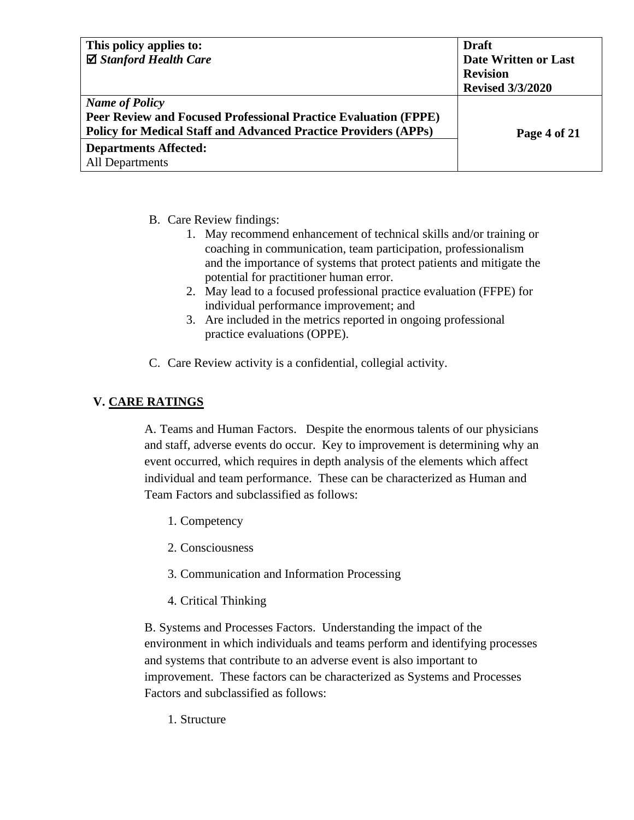| This policy applies to:                                                | <b>Draft</b>            |
|------------------------------------------------------------------------|-------------------------|
| $\boxtimes$ Stanford Health Care                                       | Date Written or Last    |
|                                                                        | <b>Revision</b>         |
|                                                                        | <b>Revised 3/3/2020</b> |
| <b>Name of Policy</b>                                                  |                         |
| <b>Peer Review and Focused Professional Practice Evaluation (FPPE)</b> |                         |
| <b>Policy for Medical Staff and Advanced Practice Providers (APPs)</b> | Page 4 of 21            |
| <b>Departments Affected:</b>                                           |                         |
| <b>All Departments</b>                                                 |                         |

- B. Care Review findings:
	- 1. May recommend enhancement of technical skills and/or training or coaching in communication, team participation, professionalism and the importance of systems that protect patients and mitigate the potential for practitioner human error.
	- 2. May lead to a focused professional practice evaluation (FFPE) for individual performance improvement; and
	- 3. Are included in the metrics reported in ongoing professional practice evaluations (OPPE).
- C. Care Review activity is a confidential, collegial activity.

## **V. CARE RATINGS**

A. Teams and Human Factors. Despite the enormous talents of our physicians and staff, adverse events do occur. Key to improvement is determining why an event occurred, which requires in depth analysis of the elements which affect individual and team performance. These can be characterized as Human and Team Factors and subclassified as follows:

- 1. Competency
- 2. Consciousness
- 3. Communication and Information Processing
- 4. Critical Thinking

B. Systems and Processes Factors. Understanding the impact of the environment in which individuals and teams perform and identifying processes and systems that contribute to an adverse event is also important to improvement. These factors can be characterized as Systems and Processes Factors and subclassified as follows:

1. Structure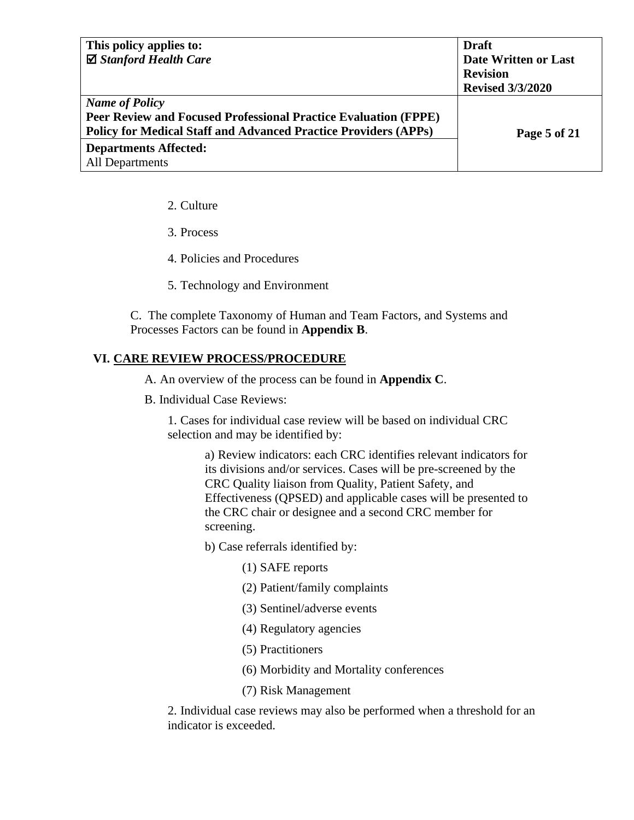| This policy applies to:                                                | <b>Draft</b>            |
|------------------------------------------------------------------------|-------------------------|
| ⊠ Stanford Health Care                                                 | Date Written or Last    |
|                                                                        | <b>Revision</b>         |
|                                                                        | <b>Revised 3/3/2020</b> |
| <b>Name of Policy</b>                                                  |                         |
| <b>Peer Review and Focused Professional Practice Evaluation (FPPE)</b> |                         |
| <b>Policy for Medical Staff and Advanced Practice Providers (APPs)</b> | Page 5 of 21            |
| <b>Departments Affected:</b>                                           |                         |
| <b>All Departments</b>                                                 |                         |

- 2. Culture
- 3. Process
- 4. Policies and Procedures
- 5. Technology and Environment

C. The complete Taxonomy of Human and Team Factors, and Systems and Processes Factors can be found in **Appendix B**.

### **VI. CARE REVIEW PROCESS/PROCEDURE**

A. An overview of the process can be found in **Appendix C**.

B. Individual Case Reviews:

1. Cases for individual case review will be based on individual CRC selection and may be identified by:

> a) Review indicators: each CRC identifies relevant indicators for its divisions and/or services. Cases will be pre-screened by the CRC Quality liaison from Quality, Patient Safety, and Effectiveness (QPSED) and applicable cases will be presented to the CRC chair or designee and a second CRC member for screening.

b) Case referrals identified by:

- (1) SAFE reports
- (2) Patient/family complaints
- (3) Sentinel/adverse events
- (4) Regulatory agencies
- (5) Practitioners
- (6) Morbidity and Mortality conferences
- (7) Risk Management

2. Individual case reviews may also be performed when a threshold for an indicator is exceeded.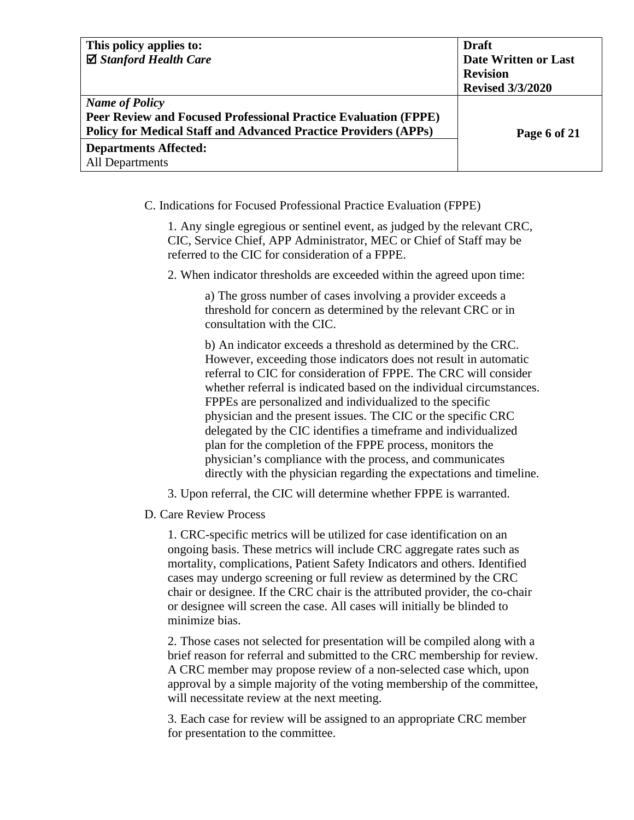| This policy applies to:                                                | <b>Draft</b>            |
|------------------------------------------------------------------------|-------------------------|
| $\boxtimes$ Stanford Health Care                                       | Date Written or Last    |
|                                                                        | <b>Revision</b>         |
|                                                                        | <b>Revised 3/3/2020</b> |
| <b>Name of Policy</b>                                                  |                         |
| Peer Review and Focused Professional Practice Evaluation (FPPE)        |                         |
| <b>Policy for Medical Staff and Advanced Practice Providers (APPs)</b> | Page 6 of 21            |
| <b>Departments Affected:</b>                                           |                         |
| All Departments                                                        |                         |

C. Indications for Focused Professional Practice Evaluation (FPPE)

1. Any single egregious or sentinel event, as judged by the relevant CRC, CIC, Service Chief, APP Administrator, MEC or Chief of Staff may be referred to the CIC for consideration of a FPPE.

2. When indicator thresholds are exceeded within the agreed upon time:

a) The gross number of cases involving a provider exceeds a threshold for concern as determined by the relevant CRC or in consultation with the CIC.

b) An indicator exceeds a threshold as determined by the CRC. However, exceeding those indicators does not result in automatic referral to CIC for consideration of FPPE. The CRC will consider whether referral is indicated based on the individual circumstances. FPPEs are personalized and individualized to the specific physician and the present issues. The CIC or the specific CRC delegated by the CIC identifies a timeframe and individualized plan for the completion of the FPPE process, monitors the physician's compliance with the process, and communicates directly with the physician regarding the expectations and timeline.

3. Upon referral, the CIC will determine whether FPPE is warranted.

D. Care Review Process

1. CRC-specific metrics will be utilized for case identification on an ongoing basis. These metrics will include CRC aggregate rates such as mortality, complications, Patient Safety Indicators and others. Identified cases may undergo screening or full review as determined by the CRC chair or designee. If the CRC chair is the attributed provider, the co-chair or designee will screen the case. All cases will initially be blinded to minimize bias.

2. Those cases not selected for presentation will be compiled along with a brief reason for referral and submitted to the CRC membership for review. A CRC member may propose review of a non-selected case which, upon approval by a simple majority of the voting membership of the committee, will necessitate review at the next meeting.

3. Each case for review will be assigned to an appropriate CRC member for presentation to the committee.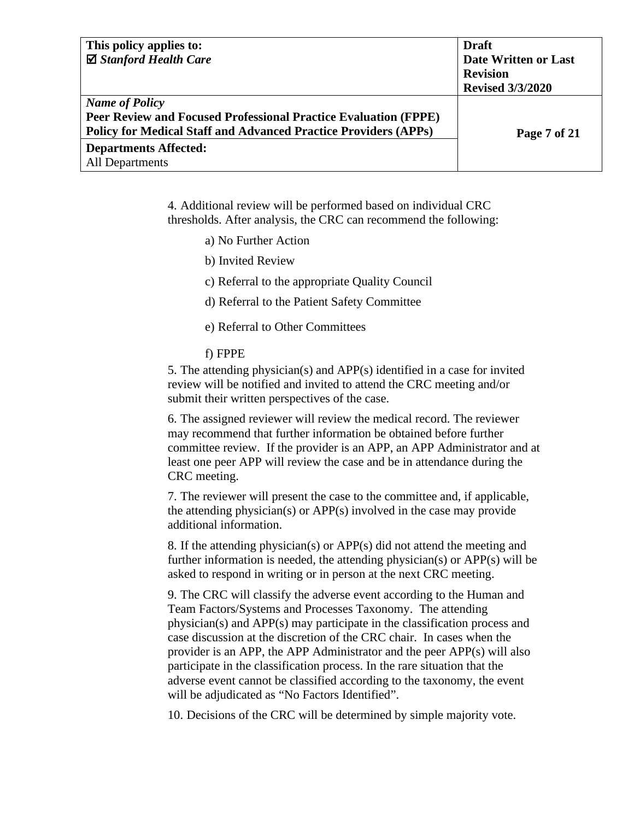| This policy applies to:                                                | <b>Draft</b>            |
|------------------------------------------------------------------------|-------------------------|
| $\boxtimes$ Stanford Health Care                                       | Date Written or Last    |
|                                                                        | <b>Revision</b>         |
|                                                                        | <b>Revised 3/3/2020</b> |
| <b>Name of Policy</b>                                                  |                         |
| <b>Peer Review and Focused Professional Practice Evaluation (FPPE)</b> |                         |
| <b>Policy for Medical Staff and Advanced Practice Providers (APPs)</b> | Page 7 of 21            |
| <b>Departments Affected:</b>                                           |                         |
| All Departments                                                        |                         |

4. Additional review will be performed based on individual CRC thresholds. After analysis, the CRC can recommend the following:

- a) No Further Action
- b) Invited Review
- c) Referral to the appropriate Quality Council
- d) Referral to the Patient Safety Committee
- e) Referral to Other Committees

#### f) FPPE

5. The attending physician(s) and APP(s) identified in a case for invited review will be notified and invited to attend the CRC meeting and/or submit their written perspectives of the case.

6. The assigned reviewer will review the medical record. The reviewer may recommend that further information be obtained before further committee review. If the provider is an APP, an APP Administrator and at least one peer APP will review the case and be in attendance during the CRC meeting.

7. The reviewer will present the case to the committee and, if applicable, the attending physician(s) or APP(s) involved in the case may provide additional information.

8. If the attending physician(s) or APP(s) did not attend the meeting and further information is needed, the attending physician(s) or APP(s) will be asked to respond in writing or in person at the next CRC meeting.

9. The CRC will classify the adverse event according to the Human and Team Factors/Systems and Processes Taxonomy. The attending physician(s) and APP(s) may participate in the classification process and case discussion at the discretion of the CRC chair. In cases when the provider is an APP, the APP Administrator and the peer APP(s) will also participate in the classification process. In the rare situation that the adverse event cannot be classified according to the taxonomy, the event will be adjudicated as "No Factors Identified".

10. Decisions of the CRC will be determined by simple majority vote.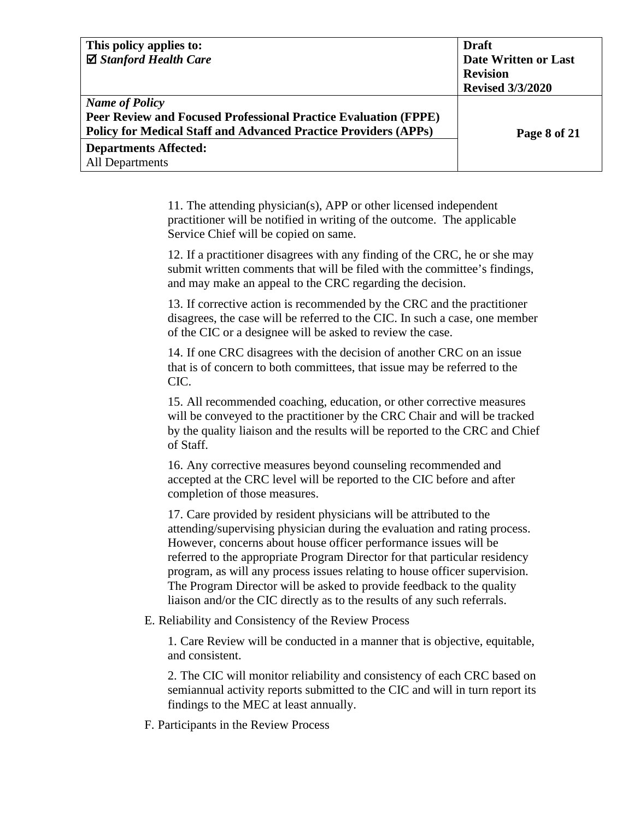| This policy applies to:                                                | <b>Draft</b>                |
|------------------------------------------------------------------------|-----------------------------|
| $\boxtimes$ Stanford Health Care                                       | <b>Date Written or Last</b> |
|                                                                        | <b>Revision</b>             |
|                                                                        | <b>Revised 3/3/2020</b>     |
| <b>Name of Policy</b>                                                  |                             |
| Peer Review and Focused Professional Practice Evaluation (FPPE)        |                             |
| <b>Policy for Medical Staff and Advanced Practice Providers (APPs)</b> | Page 8 of 21                |
| <b>Departments Affected:</b>                                           |                             |
| All Departments                                                        |                             |

11. The attending physician(s), APP or other licensed independent practitioner will be notified in writing of the outcome. The applicable Service Chief will be copied on same.

12. If a practitioner disagrees with any finding of the CRC, he or she may submit written comments that will be filed with the committee's findings, and may make an appeal to the CRC regarding the decision.

13. If corrective action is recommended by the CRC and the practitioner disagrees, the case will be referred to the CIC. In such a case, one member of the CIC or a designee will be asked to review the case.

14. If one CRC disagrees with the decision of another CRC on an issue that is of concern to both committees, that issue may be referred to the CIC.

15. All recommended coaching, education, or other corrective measures will be conveyed to the practitioner by the CRC Chair and will be tracked by the quality liaison and the results will be reported to the CRC and Chief of Staff.

16. Any corrective measures beyond counseling recommended and accepted at the CRC level will be reported to the CIC before and after completion of those measures.

17. Care provided by resident physicians will be attributed to the attending/supervising physician during the evaluation and rating process. However, concerns about house officer performance issues will be referred to the appropriate Program Director for that particular residency program, as will any process issues relating to house officer supervision. The Program Director will be asked to provide feedback to the quality liaison and/or the CIC directly as to the results of any such referrals.

E. Reliability and Consistency of the Review Process

1. Care Review will be conducted in a manner that is objective, equitable, and consistent.

2. The CIC will monitor reliability and consistency of each CRC based on semiannual activity reports submitted to the CIC and will in turn report its findings to the MEC at least annually.

F. Participants in the Review Process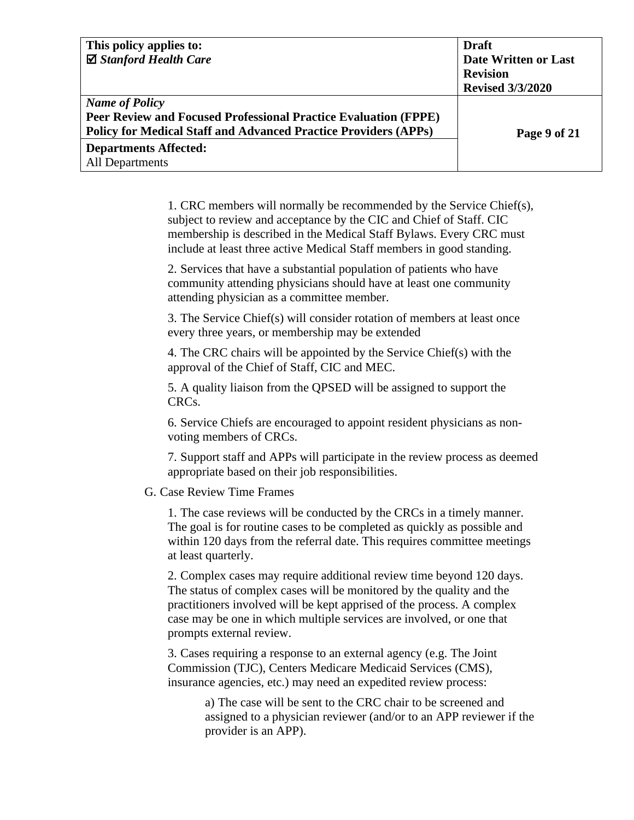| This policy applies to:                                                | <b>Draft</b>            |
|------------------------------------------------------------------------|-------------------------|
| ⊠ Stanford Health Care                                                 | Date Written or Last    |
|                                                                        | <b>Revision</b>         |
|                                                                        | <b>Revised 3/3/2020</b> |
| <b>Name of Policy</b>                                                  |                         |
| Peer Review and Focused Professional Practice Evaluation (FPPE)        |                         |
| <b>Policy for Medical Staff and Advanced Practice Providers (APPs)</b> | Page 9 of 21            |
| <b>Departments Affected:</b>                                           |                         |
| All Departments                                                        |                         |

1. CRC members will normally be recommended by the Service Chief(s), subject to review and acceptance by the CIC and Chief of Staff. CIC membership is described in the Medical Staff Bylaws. Every CRC must include at least three active Medical Staff members in good standing.

2. Services that have a substantial population of patients who have community attending physicians should have at least one community attending physician as a committee member.

3. The Service Chief(s) will consider rotation of members at least once every three years, or membership may be extended

4. The CRC chairs will be appointed by the Service Chief(s) with the approval of the Chief of Staff, CIC and MEC.

5. A quality liaison from the QPSED will be assigned to support the CRCs.

6. Service Chiefs are encouraged to appoint resident physicians as nonvoting members of CRCs.

7. Support staff and APPs will participate in the review process as deemed appropriate based on their job responsibilities.

#### G. Case Review Time Frames

1. The case reviews will be conducted by the CRCs in a timely manner. The goal is for routine cases to be completed as quickly as possible and within 120 days from the referral date. This requires committee meetings at least quarterly.

2. Complex cases may require additional review time beyond 120 days. The status of complex cases will be monitored by the quality and the practitioners involved will be kept apprised of the process. A complex case may be one in which multiple services are involved, or one that prompts external review.

3. Cases requiring a response to an external agency (e.g. The Joint Commission (TJC), Centers Medicare Medicaid Services (CMS), insurance agencies, etc.) may need an expedited review process:

> a) The case will be sent to the CRC chair to be screened and assigned to a physician reviewer (and/or to an APP reviewer if the provider is an APP).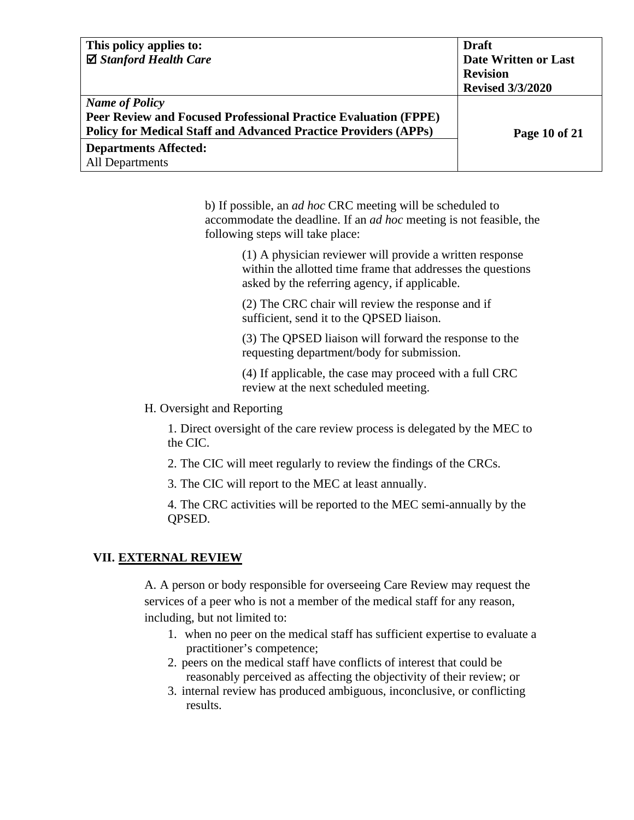| This policy applies to:                                                | <b>Draft</b>            |
|------------------------------------------------------------------------|-------------------------|
| $\boxtimes$ Stanford Health Care                                       | Date Written or Last    |
|                                                                        | <b>Revision</b>         |
|                                                                        | <b>Revised 3/3/2020</b> |
| <b>Name of Policy</b>                                                  |                         |
| <b>Peer Review and Focused Professional Practice Evaluation (FPPE)</b> |                         |
| <b>Policy for Medical Staff and Advanced Practice Providers (APPs)</b> | Page 10 of 21           |
| <b>Departments Affected:</b>                                           |                         |
| <b>All Departments</b>                                                 |                         |

b) If possible, an *ad hoc* CRC meeting will be scheduled to accommodate the deadline. If an *ad hoc* meeting is not feasible, the following steps will take place:

> (1) A physician reviewer will provide a written response within the allotted time frame that addresses the questions asked by the referring agency, if applicable.

(2) The CRC chair will review the response and if sufficient, send it to the QPSED liaison.

(3) The QPSED liaison will forward the response to the requesting department/body for submission.

(4) If applicable, the case may proceed with a full CRC review at the next scheduled meeting.

### H. Oversight and Reporting

1. Direct oversight of the care review process is delegated by the MEC to the CIC.

2. The CIC will meet regularly to review the findings of the CRCs.

3. The CIC will report to the MEC at least annually.

4. The CRC activities will be reported to the MEC semi-annually by the QPSED.

## **VII. EXTERNAL REVIEW**

A. A person or body responsible for overseeing Care Review may request the services of a peer who is not a member of the medical staff for any reason, including, but not limited to:

- 1. when no peer on the medical staff has sufficient expertise to evaluate a practitioner's competence;
- 2. peers on the medical staff have conflicts of interest that could be reasonably perceived as affecting the objectivity of their review; or
- 3. internal review has produced ambiguous, inconclusive, or conflicting results.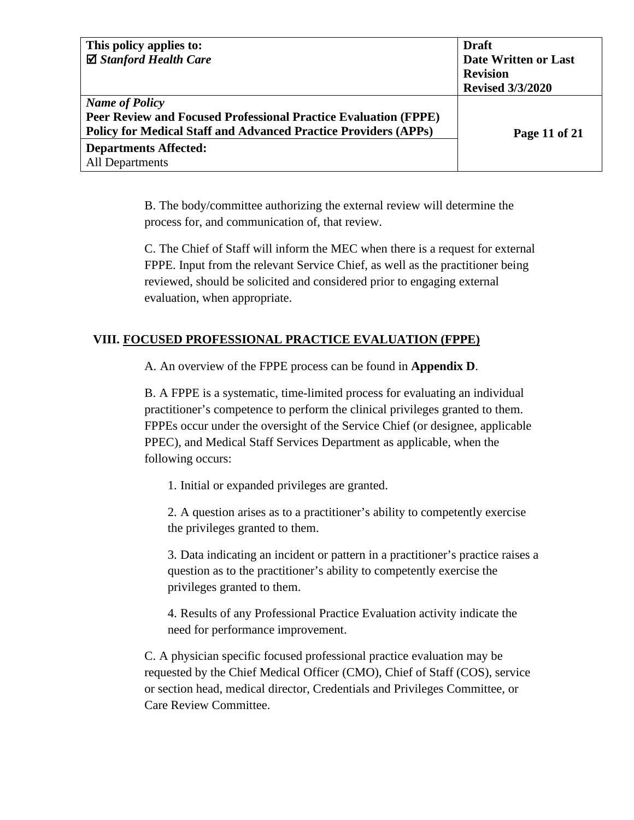| This policy applies to:                                                | <b>Draft</b>            |
|------------------------------------------------------------------------|-------------------------|
| $\boxtimes$ Stanford Health Care                                       | Date Written or Last    |
|                                                                        | <b>Revision</b>         |
|                                                                        | <b>Revised 3/3/2020</b> |
| <b>Name of Policy</b>                                                  |                         |
| <b>Peer Review and Focused Professional Practice Evaluation (FPPE)</b> |                         |
| <b>Policy for Medical Staff and Advanced Practice Providers (APPs)</b> | Page 11 of 21           |
| <b>Departments Affected:</b>                                           |                         |
| <b>All Departments</b>                                                 |                         |

B. The body/committee authorizing the external review will determine the process for, and communication of, that review.

C. The Chief of Staff will inform the MEC when there is a request for external FPPE. Input from the relevant Service Chief, as well as the practitioner being reviewed, should be solicited and considered prior to engaging external evaluation, when appropriate.

## **VIII. FOCUSED PROFESSIONAL PRACTICE EVALUATION (FPPE)**

A. An overview of the FPPE process can be found in **Appendix D**.

B. A FPPE is a systematic, time-limited process for evaluating an individual practitioner's competence to perform the clinical privileges granted to them. FPPEs occur under the oversight of the Service Chief (or designee, applicable PPEC), and Medical Staff Services Department as applicable, when the following occurs:

1. Initial or expanded privileges are granted.

2. A question arises as to a practitioner's ability to competently exercise the privileges granted to them.

3. Data indicating an incident or pattern in a practitioner's practice raises a question as to the practitioner's ability to competently exercise the privileges granted to them.

4. Results of any Professional Practice Evaluation activity indicate the need for performance improvement.

C. A physician specific focused professional practice evaluation may be requested by the Chief Medical Officer (CMO), Chief of Staff (COS), service or section head, medical director, Credentials and Privileges Committee, or Care Review Committee.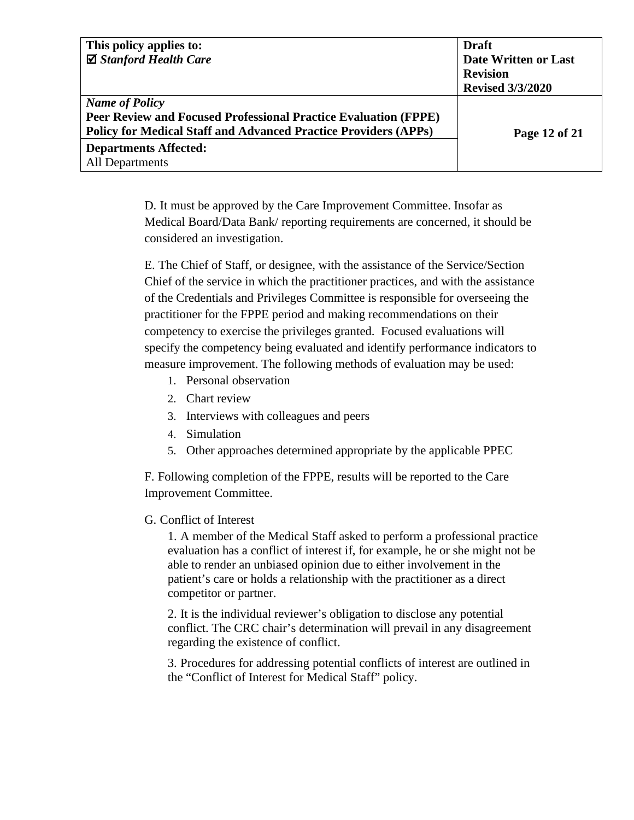| This policy applies to:                                                | <b>Draft</b>            |
|------------------------------------------------------------------------|-------------------------|
| $\boxtimes$ Stanford Health Care                                       | Date Written or Last    |
|                                                                        | <b>Revision</b>         |
|                                                                        | <b>Revised 3/3/2020</b> |
| <b>Name of Policy</b>                                                  |                         |
| <b>Peer Review and Focused Professional Practice Evaluation (FPPE)</b> |                         |
| <b>Policy for Medical Staff and Advanced Practice Providers (APPs)</b> | Page 12 of 21           |
| <b>Departments Affected:</b>                                           |                         |
| <b>All Departments</b>                                                 |                         |

D. It must be approved by the Care Improvement Committee. Insofar as Medical Board/Data Bank/ reporting requirements are concerned, it should be considered an investigation.

E. The Chief of Staff, or designee, with the assistance of the Service/Section Chief of the service in which the practitioner practices, and with the assistance of the Credentials and Privileges Committee is responsible for overseeing the practitioner for the FPPE period and making recommendations on their competency to exercise the privileges granted. Focused evaluations will specify the competency being evaluated and identify performance indicators to measure improvement. The following methods of evaluation may be used:

- 1. Personal observation
- 2. Chart review
- 3. Interviews with colleagues and peers
- 4. Simulation
- 5. Other approaches determined appropriate by the applicable PPEC

F. Following completion of the FPPE, results will be reported to the Care Improvement Committee.

#### G. Conflict of Interest

1. A member of the Medical Staff asked to perform a professional practice evaluation has a conflict of interest if, for example, he or she might not be able to render an unbiased opinion due to either involvement in the patient's care or holds a relationship with the practitioner as a direct competitor or partner.

2. It is the individual reviewer's obligation to disclose any potential conflict. The CRC chair's determination will prevail in any disagreement regarding the existence of conflict.

3. Procedures for addressing potential conflicts of interest are outlined in the "Conflict of Interest for Medical Staff" policy.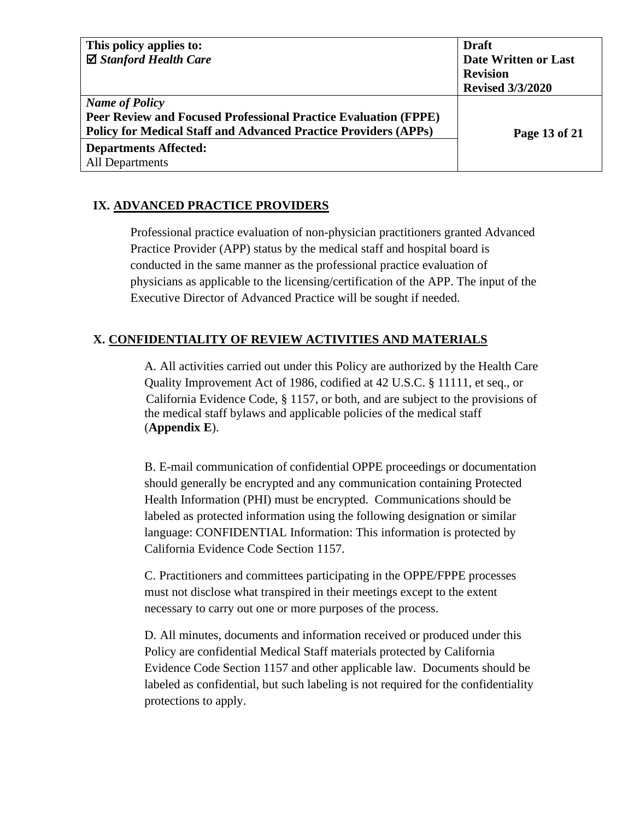| This policy applies to:                                                | <b>Draft</b>            |
|------------------------------------------------------------------------|-------------------------|
| $\boxtimes$ Stanford Health Care                                       | Date Written or Last    |
|                                                                        | <b>Revision</b>         |
|                                                                        | <b>Revised 3/3/2020</b> |
| <b>Name of Policy</b>                                                  |                         |
| <b>Peer Review and Focused Professional Practice Evaluation (FPPE)</b> |                         |
| <b>Policy for Medical Staff and Advanced Practice Providers (APPs)</b> | Page 13 of 21           |
| <b>Departments Affected:</b>                                           |                         |
| All Departments                                                        |                         |

## **IX. ADVANCED PRACTICE PROVIDERS**

Professional practice evaluation of non-physician practitioners granted Advanced Practice Provider (APP) status by the medical staff and hospital board is conducted in the same manner as the professional practice evaluation of physicians as applicable to the licensing/certification of the APP. The input of the Executive Director of Advanced Practice will be sought if needed.

## **X. CONFIDENTIALITY OF REVIEW ACTIVITIES AND MATERIALS**

A. All activities carried out under this Policy are authorized by the Health Care Quality Improvement Act of 1986, codified at 42 U.S.C. § 11111, et seq., or California Evidence Code, § 1157, or both, and are subject to the provisions of the medical staff bylaws and applicable policies of the medical staff (**Appendix E**).

B. E-mail communication of confidential OPPE proceedings or documentation should generally be encrypted and any communication containing Protected Health Information (PHI) must be encrypted. Communications should be labeled as protected information using the following designation or similar language: CONFIDENTIAL Information: This information is protected by California Evidence Code Section 1157.

C. Practitioners and committees participating in the OPPE/FPPE processes must not disclose what transpired in their meetings except to the extent necessary to carry out one or more purposes of the process.

D. All minutes, documents and information received or produced under this Policy are confidential Medical Staff materials protected by California Evidence Code Section 1157 and other applicable law. Documents should be labeled as confidential, but such labeling is not required for the confidentiality protections to apply.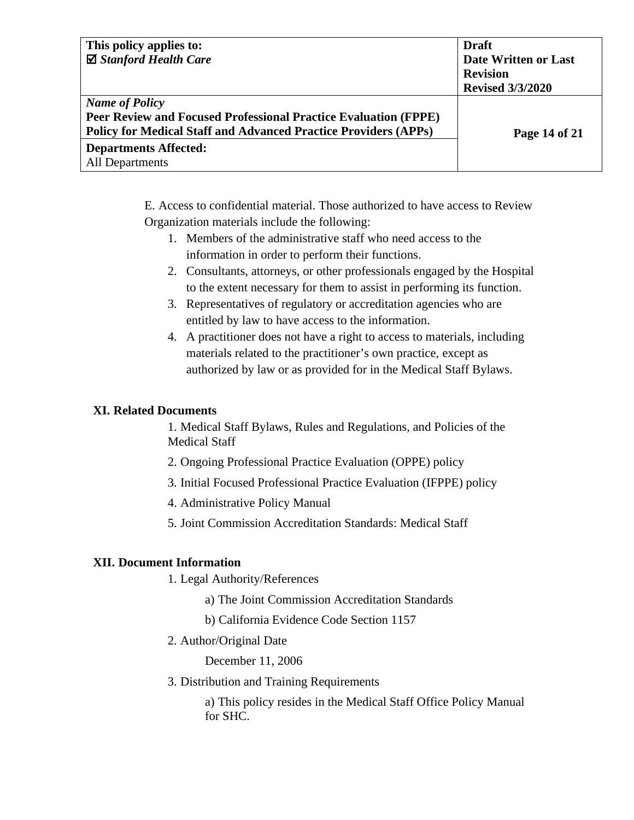| This policy applies to:                                                | <b>Draft</b>            |
|------------------------------------------------------------------------|-------------------------|
| $\boxtimes$ Stanford Health Care                                       | Date Written or Last    |
|                                                                        | <b>Revision</b>         |
|                                                                        | <b>Revised 3/3/2020</b> |
| <b>Name of Policy</b>                                                  |                         |
| <b>Peer Review and Focused Professional Practice Evaluation (FPPE)</b> |                         |
| <b>Policy for Medical Staff and Advanced Practice Providers (APPs)</b> | Page 14 of 21           |
| <b>Departments Affected:</b>                                           |                         |
| All Departments                                                        |                         |

E. Access to confidential material. Those authorized to have access to Review Organization materials include the following:

- 1. Members of the administrative staff who need access to the information in order to perform their functions.
- 2. Consultants, attorneys, or other professionals engaged by the Hospital to the extent necessary for them to assist in performing its function.
- 3. Representatives of regulatory or accreditation agencies who are entitled by law to have access to the information.
- 4. A practitioner does not have a right to access to materials, including materials related to the practitioner's own practice, except as authorized by law or as provided for in the Medical Staff Bylaws.

## **XI. Related Documents**

1. Medical Staff Bylaws, Rules and Regulations, and Policies of the Medical Staff

- 2. Ongoing Professional Practice Evaluation (OPPE) policy
- 3. Initial Focused Professional Practice Evaluation (IFPPE) policy
- 4. Administrative Policy Manual
- 5. Joint Commission Accreditation Standards: Medical Staff

#### **XII. Document Information**

- 1. Legal Authority/References
	- a) The Joint Commission Accreditation Standards
	- b) California Evidence Code Section 1157
- 2. Author/Original Date

December 11, 2006

3. Distribution and Training Requirements

a) This policy resides in the Medical Staff Office Policy Manual for SHC.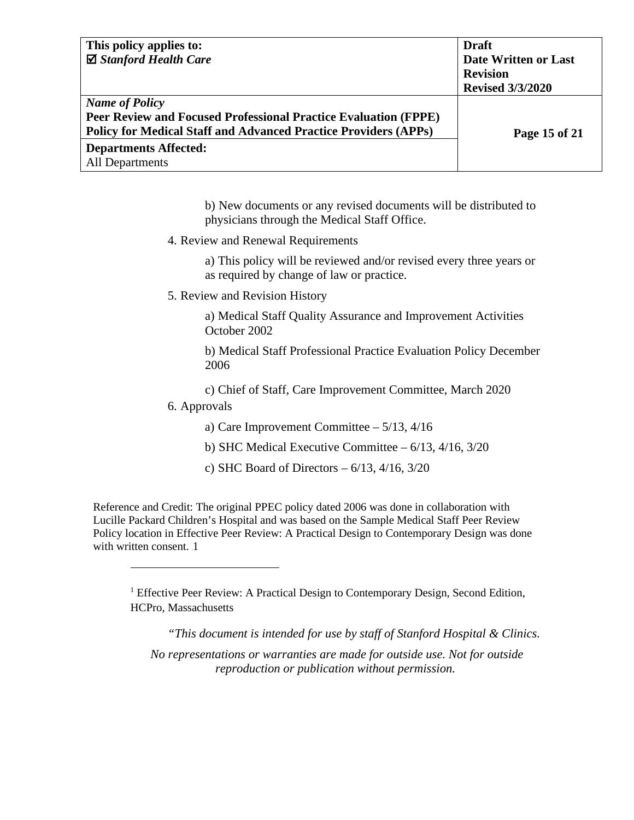| This policy applies to:                                                | <b>Draft</b>            |
|------------------------------------------------------------------------|-------------------------|
| $\boxtimes$ Stanford Health Care                                       | Date Written or Last    |
|                                                                        | <b>Revision</b>         |
|                                                                        | <b>Revised 3/3/2020</b> |
| <b>Name of Policy</b>                                                  |                         |
| <b>Peer Review and Focused Professional Practice Evaluation (FPPE)</b> |                         |
| <b>Policy for Medical Staff and Advanced Practice Providers (APPs)</b> | Page 15 of 21           |
| <b>Departments Affected:</b>                                           |                         |
| <b>All Departments</b>                                                 |                         |

b) New documents or any revised documents will be distributed to physicians through the Medical Staff Office.

4. Review and Renewal Requirements

a) This policy will be reviewed and/or revised every three years or as required by change of law or practice.

5. Review and Revision History

a) Medical Staff Quality Assurance and Improvement Activities October 2002

b) Medical Staff Professional Practice Evaluation Policy December 2006

c) Chief of Staff, Care Improvement Committee, March 2020

6. Approvals

a) Care Improvement Committee – 5/13, 4/16

b) SHC Medical Executive Committee  $-6/13$ ,  $4/16$ ,  $3/20$ 

c) SHC Board of Directors  $-6/13$ ,  $4/16$ ,  $3/20$ 

Reference and Credit: The original PPEC policy dated 2006 was done in collaboration with Lucille Packard Children's Hospital and was based on the Sample Medical Staff Peer Review Policy location in Effective Peer Review: A Practical Design to Contemporary Design was done with written consent. 1

<sup>1</sup> Effective Peer Review: A Practical Design to Contemporary Design, Second Edition, HCPro, Massachusetts

*"This document is intended for use by staff of Stanford Hospital & Clinics. No representations or warranties are made for outside use. Not for outside reproduction or publication without permission.*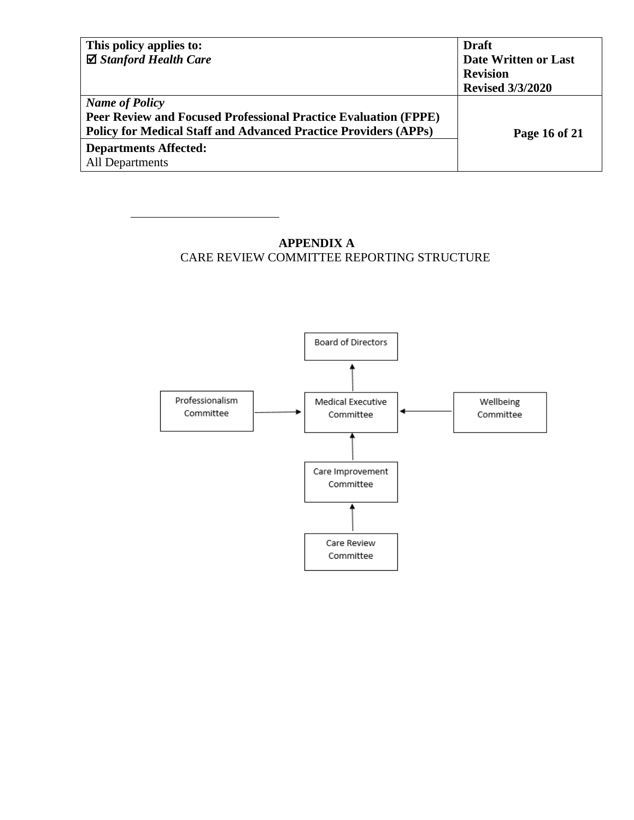| This policy applies to:                                                | <b>Draft</b>            |
|------------------------------------------------------------------------|-------------------------|
| $\boxtimes$ Stanford Health Care                                       | Date Written or Last    |
|                                                                        | <b>Revision</b>         |
|                                                                        | <b>Revised 3/3/2020</b> |
| <b>Name of Policy</b>                                                  |                         |
| <b>Peer Review and Focused Professional Practice Evaluation (FPPE)</b> |                         |
| <b>Policy for Medical Staff and Advanced Practice Providers (APPs)</b> | Page 16 of 21           |
| <b>Departments Affected:</b>                                           |                         |
| All Departments                                                        |                         |

**APPENDIX A** CARE REVIEW COMMITTEE REPORTING STRUCTURE

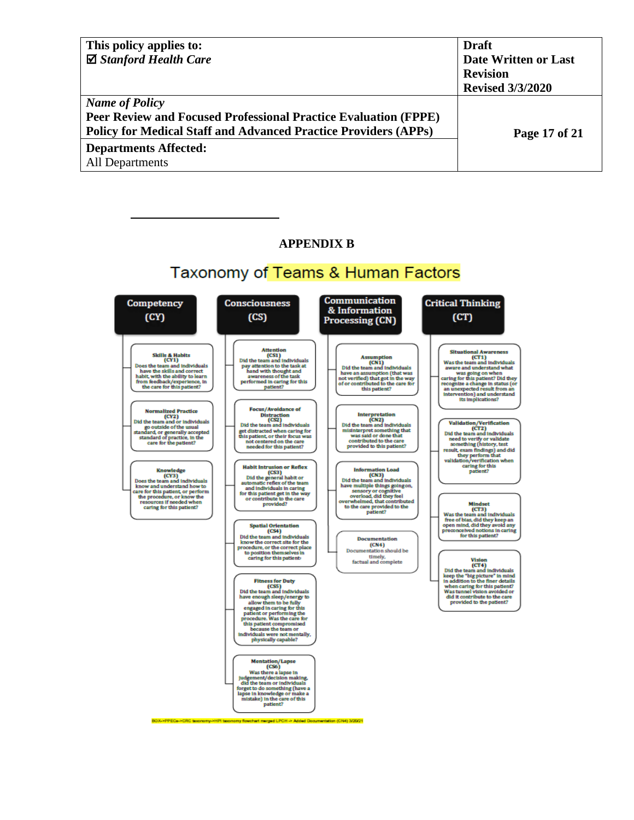| This policy applies to:                                                | <b>Draft</b>            |
|------------------------------------------------------------------------|-------------------------|
| $\boxtimes$ Stanford Health Care                                       | Date Written or Last    |
|                                                                        | <b>Revision</b>         |
|                                                                        | <b>Revised 3/3/2020</b> |
| <b>Name of Policy</b>                                                  |                         |
| <b>Peer Review and Focused Professional Practice Evaluation (FPPE)</b> |                         |
| <b>Policy for Medical Staff and Advanced Practice Providers (APPs)</b> | Page 17 of 21           |
| <b>Departments Affected:</b>                                           |                         |
| All Departments                                                        |                         |

#### **APPENDIX B**

# Taxonomy of Teams & Human Factors

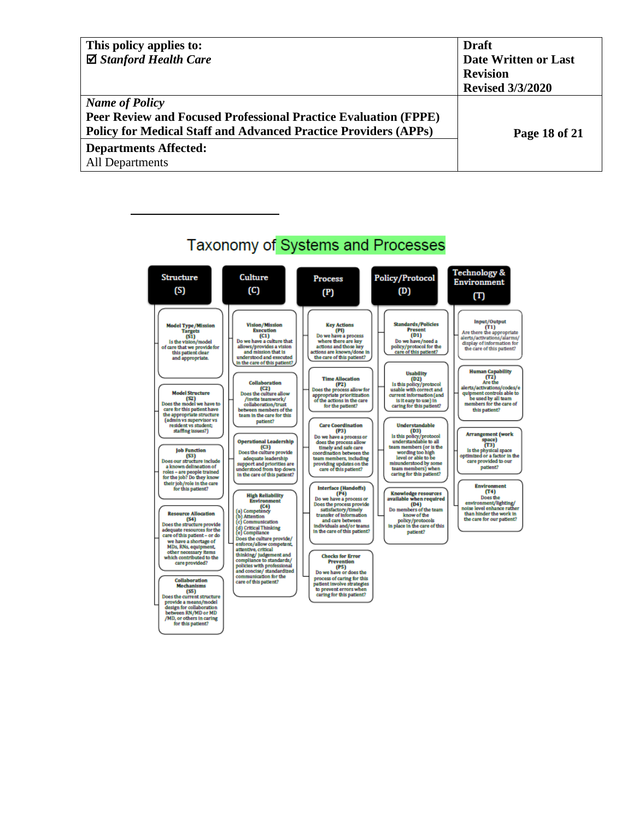| This policy applies to:                                                | <b>Draft</b>                |
|------------------------------------------------------------------------|-----------------------------|
| $\boxtimes$ Stanford Health Care                                       | <b>Date Written or Last</b> |
|                                                                        | <b>Revision</b>             |
|                                                                        | <b>Revised 3/3/2020</b>     |
| <b>Name of Policy</b>                                                  |                             |
| <b>Peer Review and Focused Professional Practice Evaluation (FPPE)</b> |                             |
| <b>Policy for Medical Staff and Advanced Practice Providers (APPs)</b> | Page 18 of 21               |
| <b>Departments Affected:</b>                                           |                             |
| All Departments                                                        |                             |

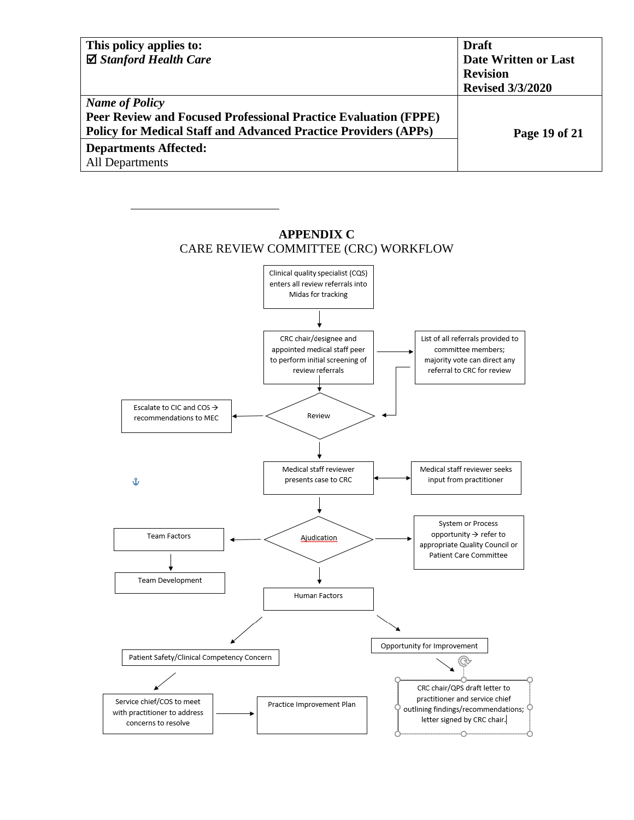| This policy applies to:                                                | <b>Draft</b>            |
|------------------------------------------------------------------------|-------------------------|
| $\boxtimes$ Stanford Health Care                                       | Date Written or Last    |
|                                                                        | <b>Revision</b>         |
|                                                                        | <b>Revised 3/3/2020</b> |
| <b>Name of Policy</b>                                                  |                         |
| <b>Peer Review and Focused Professional Practice Evaluation (FPPE)</b> |                         |
| <b>Policy for Medical Staff and Advanced Practice Providers (APPs)</b> | Page 19 of 21           |
| <b>Departments Affected:</b>                                           |                         |
| <b>All Departments</b>                                                 |                         |

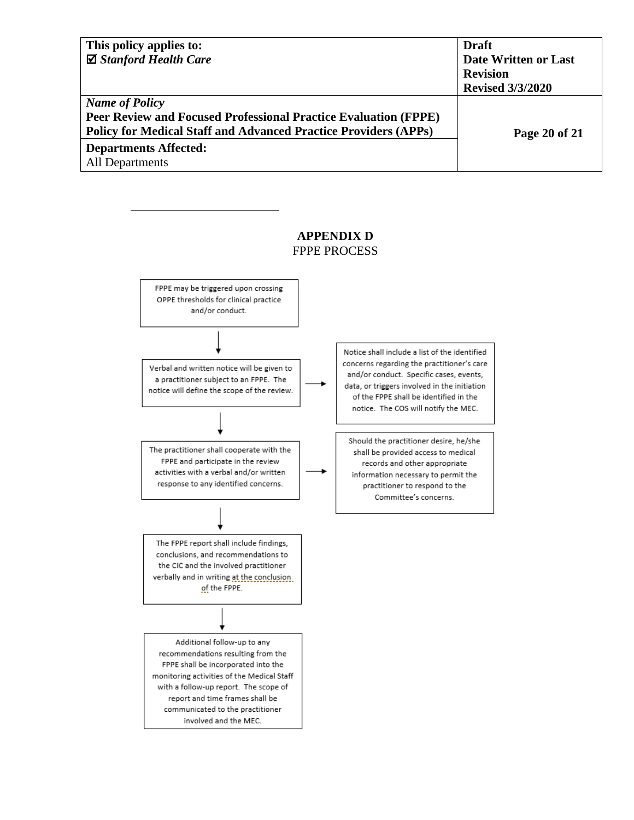| This policy applies to:                                                | <b>Draft</b>            |
|------------------------------------------------------------------------|-------------------------|
| $\boxtimes$ Stanford Health Care                                       | Date Written or Last    |
|                                                                        | <b>Revision</b>         |
|                                                                        | <b>Revised 3/3/2020</b> |
| <b>Name of Policy</b>                                                  |                         |
| <b>Peer Review and Focused Professional Practice Evaluation (FPPE)</b> |                         |
| <b>Policy for Medical Staff and Advanced Practice Providers (APPs)</b> | Page 20 of 21           |
| <b>Departments Affected:</b>                                           |                         |
| <b>All Departments</b>                                                 |                         |

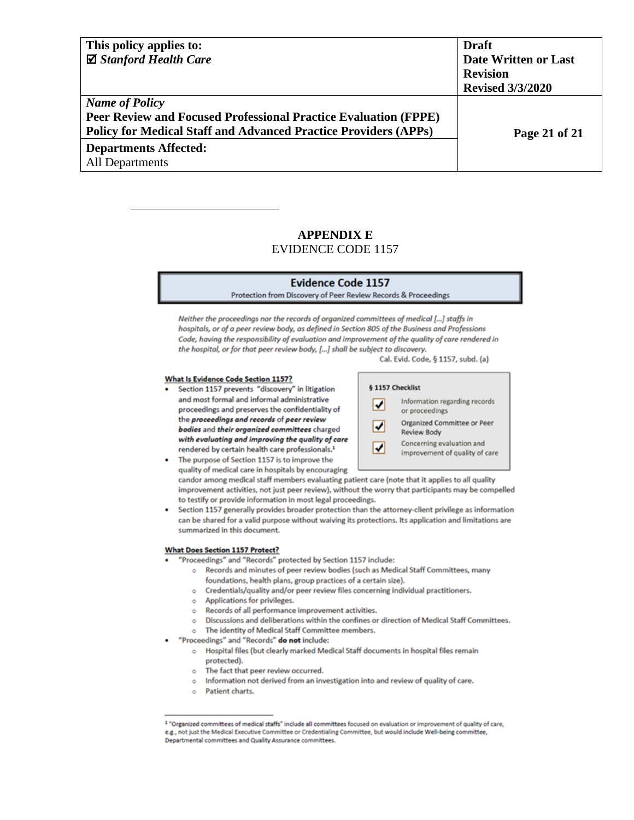| This policy applies to:                                                | <b>Draft</b>            |
|------------------------------------------------------------------------|-------------------------|
| $\boxtimes$ Stanford Health Care                                       | Date Written or Last    |
|                                                                        | <b>Revision</b>         |
|                                                                        | <b>Revised 3/3/2020</b> |
| <b>Name of Policy</b>                                                  |                         |
| <b>Peer Review and Focused Professional Practice Evaluation (FPPE)</b> |                         |
| <b>Policy for Medical Staff and Advanced Practice Providers (APPs)</b> | Page 21 of 21           |
| <b>Departments Affected:</b>                                           |                         |
| All Departments                                                        |                         |

### **APPENDIX E** EVIDENCE CODE 1157

#### **Evidence Code 1157**

Protection from Discovery of Peer Review Records & Proceedings

Neither the proceedings nor the records of organized committees of medical [...] staffs in hospitals, or of a peer review body, as defined in Section 805 of the Business and Professions Code, having the responsibility of evaluation and improvement of the quality of care rendered in the hospital, or for that peer review body, [...] shall be subject to discovery. Cal. Evid. Code, § 1157, subd. (a)

#### What Is Evidence Code Section 1157?

Section 1157 prevents "discovery" in litigation and most formal and informal administrative proceedings and preserves the confidentiality of the proceedings and records of peer review bodies and their organized committees charged with evaluating and improving the quality of care rendered by certain health care professionals.<sup>1</sup>



The purpose of Section 1157 is to improve the quality of medical care in hospitals by encouraging candor among medical staff members evaluating patient care (note that it applies to all quality improvement activities, not just peer review), without the worry that participants may be compelled to testify or provide information in most legal proceedings.

Section 1157 generally provides broader protection than the attorney-client privilege as information can be shared for a valid purpose without waiving its protections. Its application and limitations are summarized in this document.

#### **What Does Section 1157 Protect?**

- "Proceedings" and "Records" protected by Section 1157 include:
	- o Records and minutes of peer review bodies (such as Medical Staff Committees, many foundations, health plans, group practices of a certain size).
		- o Credentials/quality and/or peer review files concerning individual practitioners.
	- Applications for privileges.  $\circ$
	- Records of all performance improvement activities.  $\circ$
	- o Discussions and deliberations within the confines or direction of Medical Staff Committees.
	- o The identity of Medical Staff Committee members.
- "Proceedings" and "Records" do not include:
	- o Hospital files (but clearly marked Medical Staff documents in hospital files remain protected).
	- The fact that peer review occurred.  $\circ$
	- o Information not derived from an investigation into and review of quality of care.
	- o Patient charts.

<sup>&</sup>lt;sup>1</sup> "Organized committees of medical staffs" include all committees focused on evaluation or improvement of quality of care, e.g., not just the Medical Executive Committee or Credentialing Committee, but would include Well-being committee, Departmental committees and Quality Assurance committees.